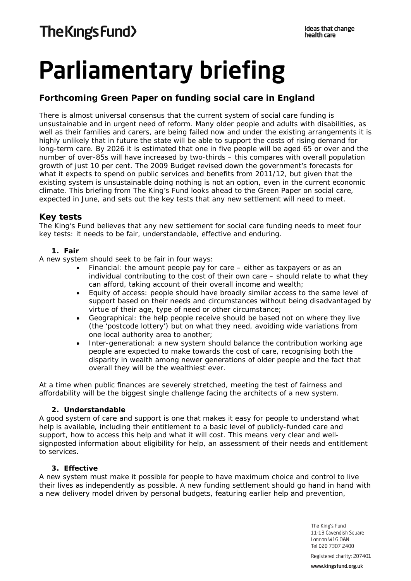# **Parliamentary briefing**

# **Forthcoming Green Paper on funding social care in England**

There is almost universal consensus that the current system of social care funding is unsustainable and in urgent need of reform. Many older people and adults with disabilities, as well as their families and carers, are being failed now and under the existing arrangements it is highly unlikely that in future the state will be able to support the costs of rising demand for long-term care. By 2026 it is estimated that one in five people will be aged 65 or over and the number of over-85s will have increased by two-thirds – this compares with overall population growth of just 10 per cent. The 2009 Budget revised down the government's forecasts for what it expects to spend on public services and benefits from 2011/12, but given that the existing system is unsustainable doing nothing is not an option, even in the current economic climate. This briefing from The King's Fund looks ahead to the Green Paper on social care, expected in June, and sets out the key tests that any new settlement will need to meet.

## **Key tests**

The King's Fund believes that any new settlement for social care funding needs to meet four key tests: it needs to be fair, understandable, effective and enduring.

#### **1. Fair**

A new system should seek to be fair in four ways:

- Financial: the amount people pay for care either as taxpayers or as an individual contributing to the cost of their own care – should relate to what they can afford, taking account of their overall income and wealth;
- Equity of access: people should have broadly similar access to the same level of support based on their needs and circumstances without being disadvantaged by virtue of their age, type of need or other circumstance;
- Geographical: the help people receive should be based not on where they live (the 'postcode lottery') but on what they need, avoiding wide variations from one local authority area to another;
- Inter-generational: a new system should balance the contribution working age people are expected to make towards the cost of care, recognising both the disparity in wealth among newer generations of older people and the fact that overall they will be the wealthiest ever.

At a time when public finances are severely stretched, meeting the test of fairness and affordability will be the biggest single challenge facing the architects of a new system.

#### **2. Understandable**

A good system of care and support is one that makes it easy for people to understand what help is available, including their entitlement to a basic level of publicly-funded care and support, how to access this help and what it will cost. This means very clear and wellsignposted information about eligibility for help, an assessment of their needs and entitlement to services.

#### **3. Effective**

A new system must make it possible for people to have maximum choice and control to live their lives as independently as possible. A new funding settlement should go hand in hand with a new delivery model driven by personal budgets, featuring earlier help and prevention,

> The King's Fund 11-13 Cavendish Square London W1G OAN Tel 020 7307 2400

Registered charity: 207401

www.kingsfund.org.uk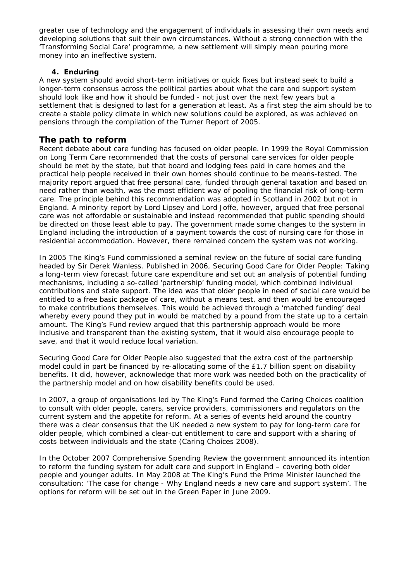greater use of technology and the engagement of individuals in assessing their own needs and developing solutions that suit their own circumstances. Without a strong connection with the 'Transforming Social Care' programme, a new settlement will simply mean pouring more money into an ineffective system.

#### **4. Enduring**

A new system should avoid short-term initiatives or quick fixes but instead seek to build a longer-term consensus across the political parties about what the care and support system should look like and how it should be funded - not just over the next few years but a settlement that is designed to last for a generation at least. As a first step the aim should be to create a stable policy climate in which new solutions could be explored, as was achieved on pensions through the compilation of the Turner Report of 2005.

## **The path to reform**

Recent debate about care funding has focused on older people. In 1999 the Royal Commission on Long Term Care recommended that the costs of personal care services for older people should be met by the state, but that board and lodging fees paid in care homes and the practical help people received in their own homes should continue to be means-tested. The majority report argued that free personal care, funded through general taxation and based on need rather than wealth, was the most efficient way of pooling the financial risk of long-term care. The principle behind this recommendation was adopted in Scotland in 2002 but not in England. A minority report by Lord Lipsey and Lord Joffe, however, argued that free personal care was not affordable or sustainable and instead recommended that public spending should be directed on those least able to pay. The government made some changes to the system in England including the introduction of a payment towards the cost of nursing care for those in residential accommodation. However, there remained concern the system was not working.

In 2005 The King's Fund commissioned a seminal review on the future of social care funding headed by Sir Derek Wanless. Published in 2006, *Securing Good Care for Older People: Taking a long-term view* forecast future care expenditure and set out an analysis of potential funding mechanisms, including a so-called 'partnership' funding model, which combined individual contributions and state support. The idea was that older people in need of social care would be entitled to a free basic package of care, without a means test, and then would be encouraged to make contributions themselves. This would be achieved through a 'matched funding' deal whereby every pound they put in would be matched by a pound from the state up to a certain amount. The King's Fund review argued that this partnership approach would be more inclusive and transparent than the existing system, that it would also encourage people to save, and that it would reduce local variation.

*Securing Good Care for Older People* also suggested that the extra cost of the partnership model could in part be financed by re-allocating some of the £1.7 billion spent on disability benefits. It did, however, acknowledge that more work was needed both on the practicality of the partnership model and on how disability benefits could be used.

In 2007, a group of organisations led by The King's Fund formed the Caring Choices coalition to consult with older people, carers, service providers, commissioners and regulators on the current system and the appetite for reform. At a series of events held around the country there was a clear consensus that the UK needed a new system to pay for long-term care for older people, which combined a clear-cut entitlement to care and support with a sharing of costs between individuals and the state (Caring Choices 2008).

In the October 2007 Comprehensive Spending Review the government announced its intention to reform the funding system for adult care and support in England – covering both older people and younger adults. In May 2008 at The King's Fund the Prime Minister launched the consultation: 'The case for change - Why England needs a new care and support system'. The options for reform will be set out in the Green Paper in June 2009.